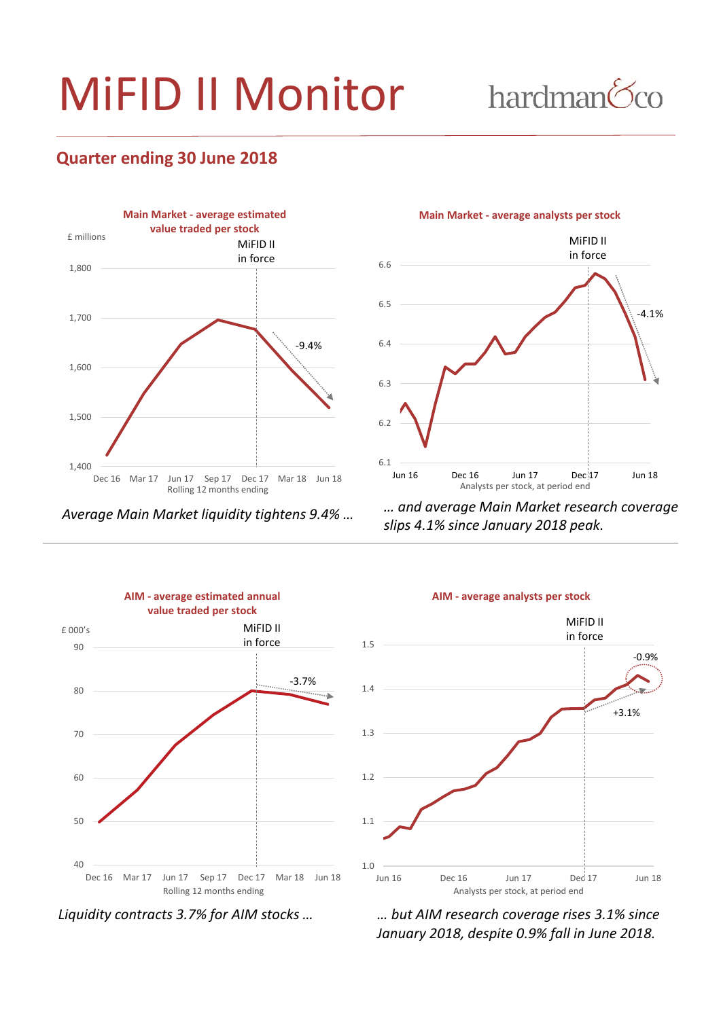# MiFID II Monitor

hardman<sup>6</sup>co

#### **Quarter ending 30 June 2018**



*Average Main Market liquidity tightens 9.4% …*

**Main Market - average analysts per stock**



*… and average Main Market research coverage slips 4.1% since January 2018 peak.*





*Liquidity contracts 3.7% for AIM stocks … … but AIM research coverage rises 3.1% since January 2018, despite 0.9% fall in June 2018.*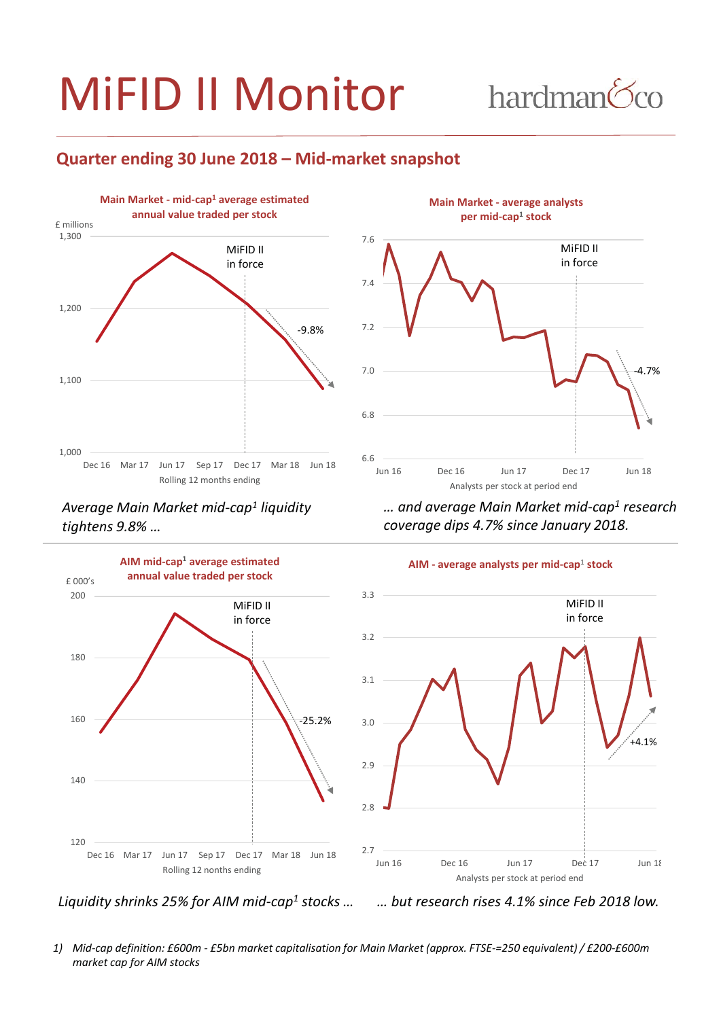# MiFID II Monitor

## hardman<sup>6</sup>co

#### **Quarter ending 30 June 2018 – Mid-market snapshot**



*Average Main Market mid-cap1 liquidity tightens 9.8% …*



*… and average Main Market mid-cap1 research coverage dips 4.7% since January 2018.*







*Liquidity shrinks 25% for AIM mid-cap1 stocks …*

*… but research rises 4.1% since Feb 2018 low.*

*1) Mid-cap definition: £600m - £5bn market capitalisation for Main Market (approx. FTSE-=250 equivalent) / £200-£600m market cap for AIM stocks*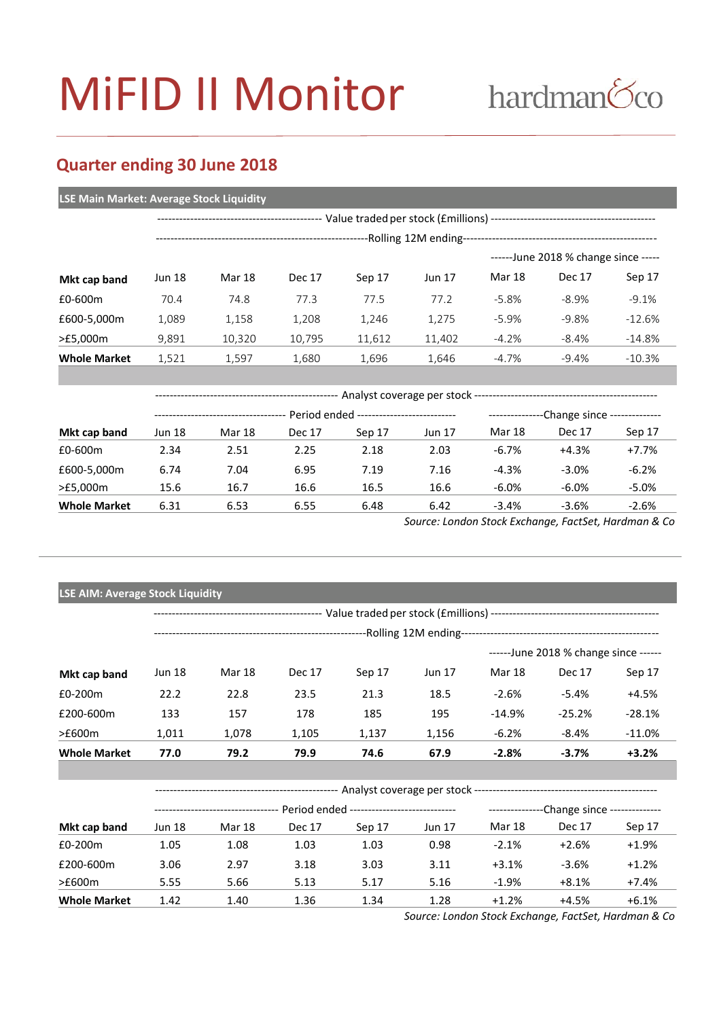# MiFID II Monitor

## hardman<sup>6</sup>co

#### **Quarter ending 30 June 2018**

#### **LSE Main Market: Average Stock Liquidity**

|                     | -Rolling 12M ending- |        |        |        |               |          |               |                                       |  |
|---------------------|----------------------|--------|--------|--------|---------------|----------|---------------|---------------------------------------|--|
|                     |                      |        |        |        |               |          |               | $---$ -June 2018 % change since $---$ |  |
| Mkt cap band        | Jun 18               | Mar 18 | Dec 17 | Sep 17 | <b>Jun 17</b> | Mar 18   | <b>Dec 17</b> | Sep 17                                |  |
| £0-600m             | 70.4                 | 74.8   | 77.3   | 77.5   | 77.2          | $-5.8\%$ | $-8.9%$       | $-9.1%$                               |  |
| £600-5,000m         | 1,089                | 1,158  | 1.208  | 1.246  | 1.275         | $-5.9%$  | $-9.8%$       | $-12.6%$                              |  |
| >£5,000m            | 9,891                | 10,320 | 10,795 | 11,612 | 11,402        | $-4.2%$  | $-8.4%$       | $-14.8%$                              |  |
| <b>Whole Market</b> | 1,521                | 1,597  | 1,680  | 1,696  | 1,646         | $-4.7\%$ | $-9.4%$       | $-10.3\%$                             |  |

| Mkt cap band        |                                         |        |        |        |               |                                                |          |          |  |
|---------------------|-----------------------------------------|--------|--------|--------|---------------|------------------------------------------------|----------|----------|--|
|                     | Period ended -------------------------- |        |        |        |               | --Change since --------------<br>------------- |          |          |  |
|                     | Jun 18                                  | Mar 18 | Dec 17 | Sep 17 | <b>Jun 17</b> | Mar 18                                         | Dec 17   | Sep 17   |  |
| £0-600m             | 2.34                                    | 2.51   | 2.25   | 2.18   | 2.03          | $-6.7\%$                                       | $+4.3%$  | $+7.7%$  |  |
| £600-5,000m         | 6.74                                    | 7.04   | 6.95   | 7.19   | 7.16          | $-4.3%$                                        | $-3.0%$  | $-6.2%$  |  |
| >£5,000m            | 15.6                                    | 16.7   | 16.6   | 16.5   | 16.6          | $-6.0%$                                        | $-6.0\%$ | $-5.0\%$ |  |
| <b>Whole Market</b> | 6.31                                    | 6.53   | 6.55   | 6.48   | 6.42          | $-3.4%$                                        | $-3.6%$  | $-2.6%$  |  |

*Source: London Stock Exchange, FactSet, Hardman & Co*

| <b>LSE AIM: Average Stock Liquidity</b> |                                       |                                                                            |               |        |        |               |                                             |          |  |  |
|-----------------------------------------|---------------------------------------|----------------------------------------------------------------------------|---------------|--------|--------|---------------|---------------------------------------------|----------|--|--|
|                                         |                                       |                                                                            |               |        |        |               |                                             |          |  |  |
|                                         |                                       |                                                                            |               |        |        |               |                                             |          |  |  |
|                                         | ------June 2018 % change since ------ |                                                                            |               |        |        |               |                                             |          |  |  |
| Mkt cap band                            | <b>Jun 18</b>                         | Mar 18                                                                     | <b>Dec 17</b> | Sep 17 | Jun 17 | <b>Mar 18</b> | Dec 17                                      | Sep 17   |  |  |
| £0-200m                                 | 22.2                                  | 22.8                                                                       | 23.5          | 21.3   | 18.5   | $-2.6%$       | $-5.4\%$                                    | +4.5%    |  |  |
| £200-600m                               | 133                                   | 157                                                                        | 178           | 185    | 195    | $-14.9%$      | $-25.2%$                                    | $-28.1%$ |  |  |
| >£600m                                  | 1,011                                 | 1,078                                                                      | 1,105         | 1,137  | 1,156  | $-6.2%$       | $-8.4%$                                     | $-11.0%$ |  |  |
| <b>Whole Market</b>                     | 77.0                                  | 79.2                                                                       | 79.9          | 74.6   | 67.9   | $-2.8%$       | $-3.7%$                                     | $+3.2%$  |  |  |
|                                         |                                       |                                                                            |               |        |        |               |                                             |          |  |  |
|                                         |                                       |                                                                            |               |        |        |               |                                             |          |  |  |
|                                         |                                       | --------------------------------- Period ended --------------------------- |               |        |        |               | ----------------Change since -------------- |          |  |  |
| Mkt cap band                            | <b>Jun 18</b>                         | Mar 18                                                                     | <b>Dec 17</b> | Sep 17 | Jun 17 | <b>Mar 18</b> | Dec 17                                      | Sep 17   |  |  |
| £0-200m                                 | 1.05                                  | 1.08                                                                       | 1.03          | 1.03   | 0.98   | $-2.1%$       | $+2.6%$                                     | $+1.9%$  |  |  |
| £200-600m                               | 3.06                                  | 2.97                                                                       | 3.18          | 3.03   | 3.11   | $+3.1%$       | $-3.6%$                                     | $+1.2%$  |  |  |
| >£600m                                  | 5.55                                  | 5.66                                                                       | 5.13          | 5.17   | 5.16   | $-1.9%$       | $+8.1%$                                     | $+7.4%$  |  |  |
| <b>Whole Market</b>                     | 1.42                                  | 1.40                                                                       | 1.36          | 1.34   | 1.28   | $+1.2%$       | $+4.5%$                                     | $+6.1%$  |  |  |

*Source: London Stock Exchange, FactSet, Hardman & Co*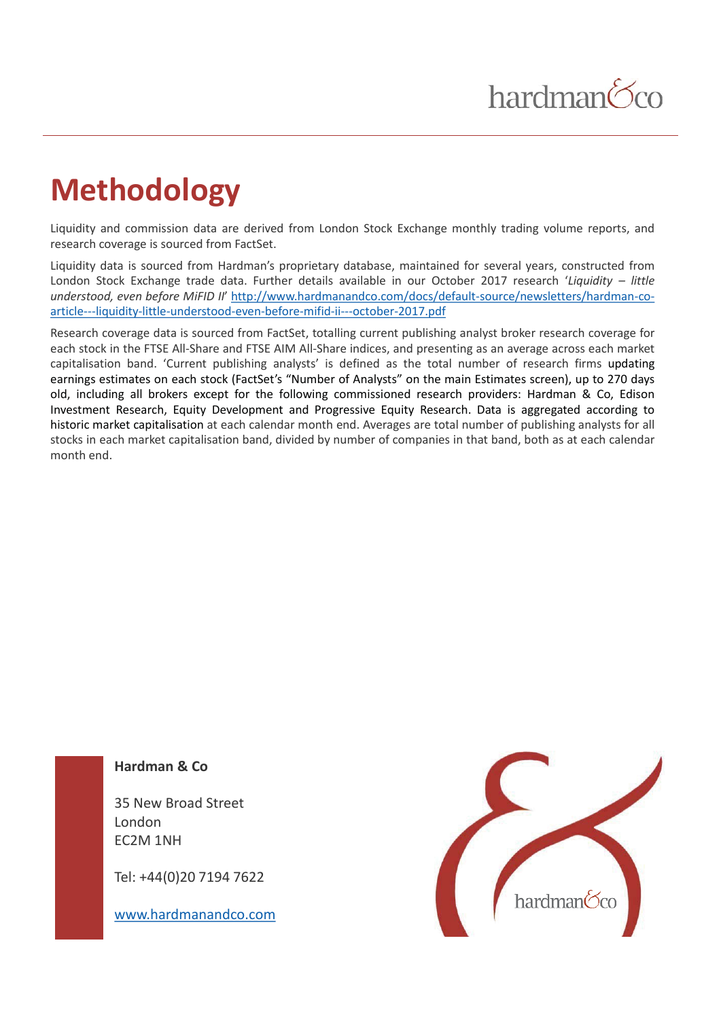### hardman<sup>6</sup>co

### **Methodology**

Liquidity and commission data are derived from London Stock Exchange monthly trading volume reports, and research coverage is sourced from FactSet.

Liquidity data is sourced from Hardman's proprietary database, maintained for several years, constructed from London Stock Exchange trade data. Further details available in our October 2017 research '*Liquidity – little understood, even before MiFID II*' http://www.hardmanandco.com/docs/default-source/newsletters/hardman-coarticle---liquidity-little-understood-even-before-mifid-ii---october-2017.pdf

Research coverage data is sourced from FactSet, totalling current publishing analyst broker research coverage for each stock in the FTSE All-Share and FTSE AIM All-Share indices, and presenting as an average across each market capitalisation band. 'Current publishing analysts' is defined as the total number of research firms updating earnings estimates on each stock (FactSet's "Number of Analysts" on the main Estimates screen), up to 270 days old, including all brokers except for the following commissioned research providers: Hardman & Co, Edison Investment Research, Equity Development and Progressive Equity Research. Data is aggregated according to historic market capitalisation at each calendar month end. Averages are total number of publishing analysts for all stocks in each market capitalisation band, divided by number of companies in that band, both as at each calendar month end.

#### **Hardman & Co**

35 New Broad Street London EC2M 1NH

Tel: +44(0)20 7194 7622

www.hardmanandco.com